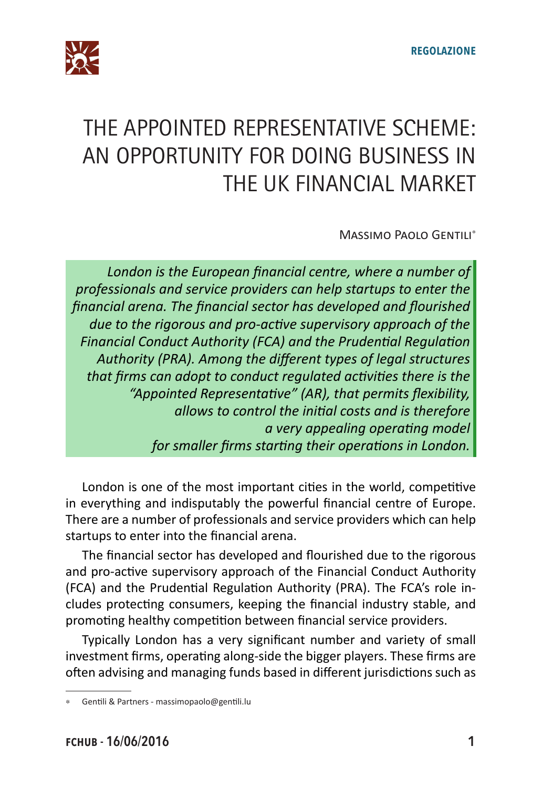

## THE APPOINTED REPRESENTATIVE SCHEME: AN OPPORTUNITY FOR DOING BUSINESS IN THE UK FINANCIAL MARKET

Massimo Paolo Gentili\*

*London is the European financial centre, where a number of professionals and service providers can help startups to enter the financial arena. The financial sector has developed and flourished due to the rigorous and pro-active supervisory approach of the Financial Conduct Authority (FCA) and the Prudential Regulation Authority (PRA). Among the different types of legal structures that firms can adopt to conduct regulated activities there is the "Appointed Representative" (AR), that permits flexibility, allows to control the initial costs and is therefore a very appealing operating model for smaller firms starting their operations in London.*

London is one of the most important cities in the world, competitive in everything and indisputably the powerful financial centre of Europe. There are a number of professionals and service providers which can help startups to enter into the financial arena.

The financial sector has developed and flourished due to the rigorous and pro-active supervisory approach of the Financial Conduct Authority (FCA) and the Prudential Regulation Authority (PRA). The FCA's role includes protecting consumers, keeping the financial industry stable, and promoting healthy competition between financial service providers.

Typically London has a very significant number and variety of small investment firms, operating along-side the bigger players. These firms are often advising and managing funds based in different jurisdictions such as

Gentili & Partners - massimopaolo@gentili.lu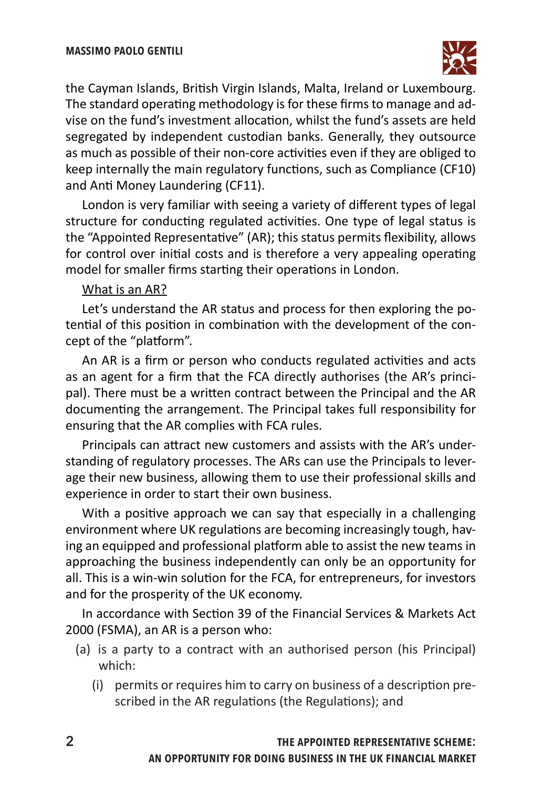

the Cayman Islands, British Virgin Islands, Malta, Ireland or Luxembourg. The standard operating methodology is for these firms to manage and advise on the fund's investment allocation, whilst the fund's assets are held segregated by independent custodian banks. Generally, they outsource as much as possible of their non-core activities even if they are obliged to keep internally the main regulatory functions, such as Compliance (CF10) and Anti Money Laundering (CF11).

London is very familiar with seeing a variety of different types of legal structure for conducting regulated activities. One type of legal status is the "Appointed Representative" (AR); this status permits flexibility, allows for control over initial costs and is therefore a very appealing operating model for smaller firms starting their operations in London.

## What is an AR?

Let's understand the AR status and process for then exploring the potential of this position in combination with the development of the concept of the "platform".

An AR is a firm or person who conducts regulated activities and acts as an agent for a firm that the FCA directly authorises (the AR's principal). There must be a written contract between the Principal and the AR documenting the arrangement. The Principal takes full responsibility for ensuring that the AR complies with FCA rules.

Principals can attract new customers and assists with the AR's understanding of regulatory processes. The ARs can use the Principals to leverage their new business, allowing them to use their professional skills and experience in order to start their own business.

With a positive approach we can say that especially in a challenging environment where UK regulations are becoming increasingly tough, having an equipped and professional platform able to assist the new teams in approaching the business independently can only be an opportunity for all. This is a win-win solution for the FCA, for entrepreneurs, for investors and for the prosperity of the UK economy.

In accordance with Section 39 of the Financial Services & Markets Act 2000 (FSMA), an AR is a person who:

- (a) is a party to a contract with an authorised person (his Principal) which:
	- (i) permits or requires him to carry on business of a description prescribed in the AR regulations (the Regulations); and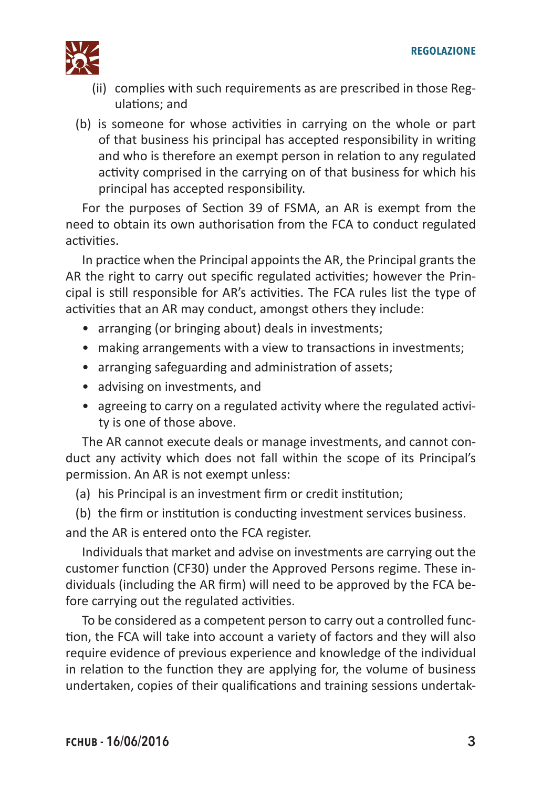

- (ii) complies with such requirements as are prescribed in those Regulations; and
- (b) is someone for whose activities in carrying on the whole or part of that business his principal has accepted responsibility in writing and who is therefore an exempt person in relation to any regulated activity comprised in the carrying on of that business for which his principal has accepted responsibility.

For the purposes of Section 39 of FSMA, an AR is exempt from the need to obtain its own authorisation from the FCA to conduct regulated activities.

In practice when the Principal appoints the AR, the Principal grants the AR the right to carry out specific regulated activities; however the Principal is still responsible for AR's activities. The FCA rules list the type of activities that an AR may conduct, amongst others they include:

- arranging (or bringing about) deals in investments;
- making arrangements with a view to transactions in investments;
- arranging safeguarding and administration of assets;
- advising on investments, and
- agreeing to carry on a regulated activity where the regulated activity is one of those above.

The AR cannot execute deals or manage investments, and cannot conduct any activity which does not fall within the scope of its Principal's permission. An AR is not exempt unless:

(a) his Principal is an investment firm or credit institution;

(b) the firm or institution is conducting investment services business. and the AR is entered onto the FCA register.

Individuals that market and advise on investments are carrying out the customer function (CF30) under the Approved Persons regime. These individuals (including the AR firm) will need to be approved by the FCA before carrying out the regulated activities.

To be considered as a competent person to carry out a controlled function, the FCA will take into account a variety of factors and they will also require evidence of previous experience and knowledge of the individual in relation to the function they are applying for, the volume of business undertaken, copies of their qualifications and training sessions undertak-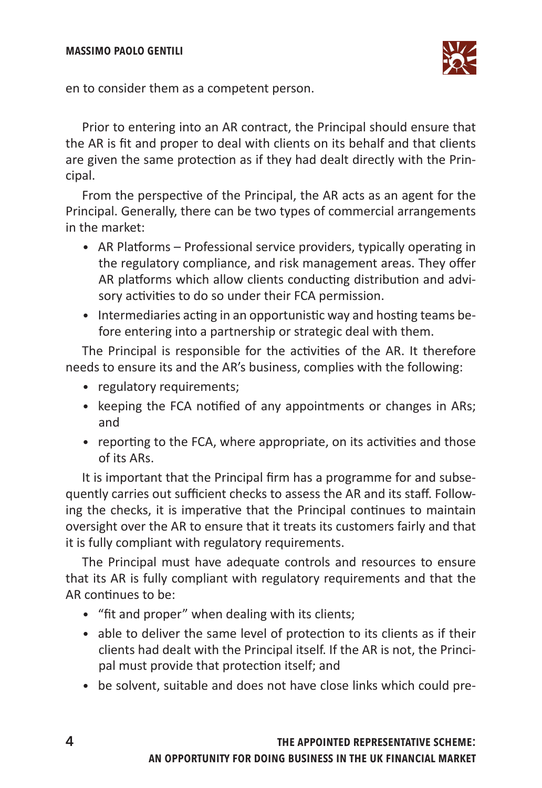## **massimo paolo gentili**



en to consider them as a competent person.

Prior to entering into an AR contract, the Principal should ensure that the AR is fit and proper to deal with clients on its behalf and that clients are given the same protection as if they had dealt directly with the Principal.

From the perspective of the Principal, the AR acts as an agent for the Principal. Generally, there can be two types of commercial arrangements in the market:

- AR Platforms Professional service providers, typically operating in the regulatory compliance, and risk management areas. They offer AR platforms which allow clients conducting distribution and advisory activities to do so under their FCA permission.
- Intermediaries acting in an opportunistic way and hosting teams before entering into a partnership or strategic deal with them.

The Principal is responsible for the activities of the AR. It therefore needs to ensure its and the AR's business, complies with the following:

- regulatory requirements;
- keeping the FCA notified of any appointments or changes in ARs; and
- reporting to the FCA, where appropriate, on its activities and those of its ARs.

It is important that the Principal firm has a programme for and subsequently carries out sufficient checks to assess the AR and its staff. Following the checks, it is imperative that the Principal continues to maintain oversight over the AR to ensure that it treats its customers fairly and that it is fully compliant with regulatory requirements.

The Principal must have adequate controls and resources to ensure that its AR is fully compliant with regulatory requirements and that the AR continues to be:

- "fit and proper" when dealing with its clients;
- able to deliver the same level of protection to its clients as if their clients had dealt with the Principal itself. If the AR is not, the Principal must provide that protection itself; and
- be solvent, suitable and does not have close links which could pre-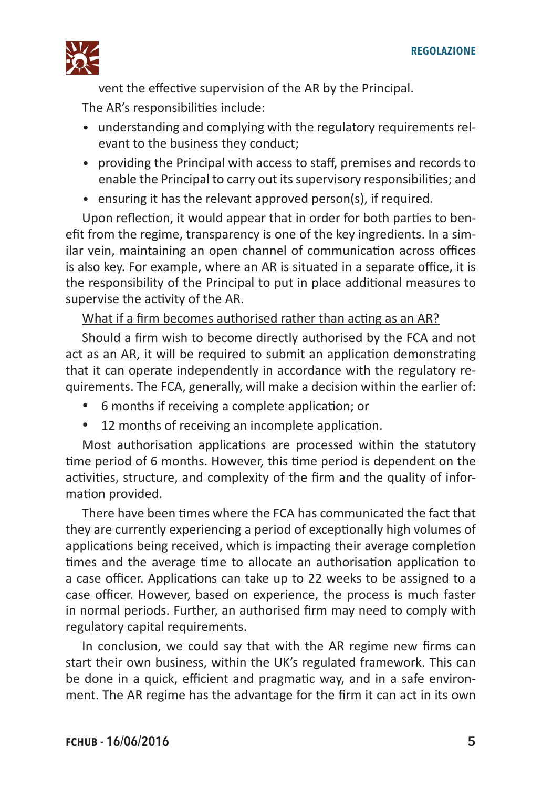

vent the effective supervision of the AR by the Principal. The AR's responsibilities include:

- understanding and complying with the regulatory requirements relevant to the business they conduct;
- providing the Principal with access to staff, premises and records to enable the Principal to carry out its supervisory responsibilities; and
- ensuring it has the relevant approved person(s), if required.

Upon reflection, it would appear that in order for both parties to benefit from the regime, transparency is one of the key ingredients. In a similar vein, maintaining an open channel of communication across offices is also key. For example, where an AR is situated in a separate office, it is the responsibility of the Principal to put in place additional measures to supervise the activity of the AR.

What if a firm becomes authorised rather than acting as an AR?

Should a firm wish to become directly authorised by the FCA and not act as an AR, it will be required to submit an application demonstrating that it can operate independently in accordance with the regulatory requirements. The FCA, generally, will make a decision within the earlier of:

- • 6 months if receiving a complete application; or
- • 12 months of receiving an incomplete application.

Most authorisation applications are processed within the statutory time period of 6 months. However, this time period is dependent on the activities, structure, and complexity of the firm and the quality of information provided.

There have been times where the FCA has communicated the fact that they are currently experiencing a period of exceptionally high volumes of applications being received, which is impacting their average completion times and the average time to allocate an authorisation application to a case officer. Applications can take up to 22 weeks to be assigned to a case officer. However, based on experience, the process is much faster in normal periods. Further, an authorised firm may need to comply with regulatory capital requirements.

In conclusion, we could say that with the AR regime new firms can start their own business, within the UK's regulated framework. This can be done in a quick, efficient and pragmatic way, and in a safe environment. The AR regime has the advantage for the firm it can act in its own